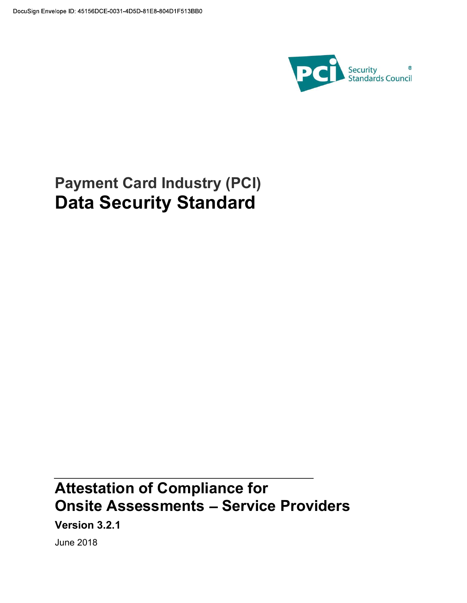

# Payment Card Industry (PCI) Data Security Standard

# Attestation of Compliance for **Onsite Assessments - Service Providers**

Version 3.2.1

June 2018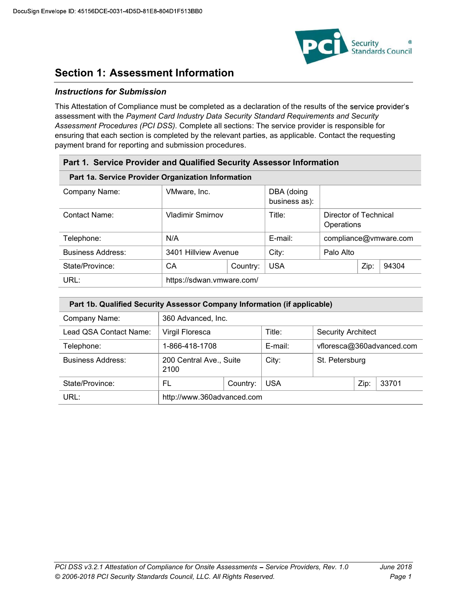

### Section 1: Assessment Information

### Instructions for Submission

This Attestation of Compliance must be completed as a declaration of the results of the service provider's assessment with the Payment Card Industry Data Security Standard Requirements and Security Assessment Procedures (PCI DSS). Complete all sections: The service provider is responsible for ensuring that each section is completed by the relevant parties, as applicable. Contact the requesting payment brand for reporting and submission procedures.

| Part 1. Service Provider and Qualified Security Assessor Information |                           |          |                             |                                     |      |                       |
|----------------------------------------------------------------------|---------------------------|----------|-----------------------------|-------------------------------------|------|-----------------------|
| Part 1a. Service Provider Organization Information                   |                           |          |                             |                                     |      |                       |
| Company Name:                                                        | VMware, Inc.              |          | DBA (doing<br>business as): |                                     |      |                       |
| Contact Name:                                                        | <b>Vladimir Smirnov</b>   |          | Title:                      | Director of Technical<br>Operations |      |                       |
| Telephone:                                                           | N/A                       |          | E-mail:                     |                                     |      | compliance@vmware.com |
| <b>Business Address:</b>                                             | 3401 Hillview Avenue      |          | City:                       | Palo Alto                           |      |                       |
| State/Province:                                                      | СA                        | Country: | <b>USA</b>                  |                                     | Zip: | 94304                 |
| URL:                                                                 | https://sdwan.vmware.com/ |          |                             |                                     |      |                       |

| Part 1b. Qualified Security Assessor Company Information (if applicable) |                                 |                    |            |                           |      |       |
|--------------------------------------------------------------------------|---------------------------------|--------------------|------------|---------------------------|------|-------|
| Company Name:                                                            |                                 | 360 Advanced, Inc. |            |                           |      |       |
| Lead QSA Contact Name:                                                   | Virgil Floresca                 |                    | Title:     | <b>Security Architect</b> |      |       |
| Telephone:                                                               | 1-866-418-1708                  |                    | E-mail:    | vfloresca@360advanced.com |      |       |
| <b>Business Address:</b>                                                 | 200 Central Ave., Suite<br>2100 |                    | City:      | St. Petersburg            |      |       |
| State/Province:                                                          | FL                              | Country:           | <b>USA</b> |                           | Zip: | 33701 |
| URL:                                                                     | http://www.360advanced.com      |                    |            |                           |      |       |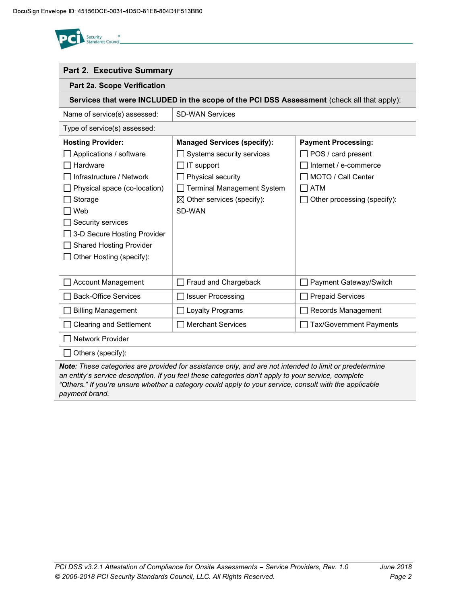

| <b>Part 2. Executive Summary</b>                                                                                                                                                                                                    |                                                                                                                                                                                     |                                                                                                                                       |  |  |  |  |
|-------------------------------------------------------------------------------------------------------------------------------------------------------------------------------------------------------------------------------------|-------------------------------------------------------------------------------------------------------------------------------------------------------------------------------------|---------------------------------------------------------------------------------------------------------------------------------------|--|--|--|--|
| Part 2a. Scope Verification                                                                                                                                                                                                         |                                                                                                                                                                                     |                                                                                                                                       |  |  |  |  |
|                                                                                                                                                                                                                                     | Services that were INCLUDED in the scope of the PCI DSS Assessment (check all that apply):                                                                                          |                                                                                                                                       |  |  |  |  |
| Name of service(s) assessed:                                                                                                                                                                                                        | <b>SD-WAN Services</b>                                                                                                                                                              |                                                                                                                                       |  |  |  |  |
| Type of service(s) assessed:                                                                                                                                                                                                        |                                                                                                                                                                                     |                                                                                                                                       |  |  |  |  |
| <b>Hosting Provider:</b><br>Applications / software<br>Hardware<br>Infrastructure / Network<br>Physical space (co-location)<br>Storage<br>Web<br>Security services<br>3-D Secure Hosting Provider<br><b>Shared Hosting Provider</b> | <b>Managed Services (specify):</b><br>Systems security services<br>IT support<br>Physical security<br><b>Terminal Management System</b><br>⊠<br>Other services (specify):<br>SD-WAN | <b>Payment Processing:</b><br>POS / card present<br>Internet / e-commerce<br>MOTO / Call Center<br>ATM<br>Other processing (specify): |  |  |  |  |
| Other Hosting (specify):<br><b>Account Management</b>                                                                                                                                                                               | Fraud and Chargeback                                                                                                                                                                | Payment Gateway/Switch                                                                                                                |  |  |  |  |
| <b>Back-Office Services</b>                                                                                                                                                                                                         | <b>Issuer Processing</b>                                                                                                                                                            | <b>Prepaid Services</b>                                                                                                               |  |  |  |  |
| <b>Billing Management</b>                                                                                                                                                                                                           | Loyalty Programs                                                                                                                                                                    | Records Management                                                                                                                    |  |  |  |  |
| <b>Clearing and Settlement</b>                                                                                                                                                                                                      | <b>Merchant Services</b>                                                                                                                                                            | <b>Tax/Government Payments</b>                                                                                                        |  |  |  |  |
| <b>Network Provider</b>                                                                                                                                                                                                             |                                                                                                                                                                                     |                                                                                                                                       |  |  |  |  |
| Others (specify):                                                                                                                                                                                                                   |                                                                                                                                                                                     |                                                                                                                                       |  |  |  |  |

Note: These categories are provided for assistance only, and are not intended to limit or predetermine an entity's service description. If you feel these categories don't apply to your service, complete "Others." If you're unsure whether a category could apply to your service, consult with the applicable payment brand.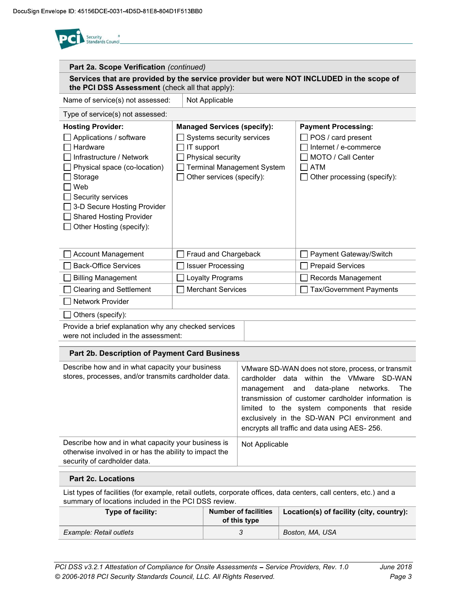| Part 2a. Scope Verification (continued)                                                                                                                                                                                                                         |                                                                                                                                                                      |                |                                                                                                                                                                                                                                                                                                                                          |  |
|-----------------------------------------------------------------------------------------------------------------------------------------------------------------------------------------------------------------------------------------------------------------|----------------------------------------------------------------------------------------------------------------------------------------------------------------------|----------------|------------------------------------------------------------------------------------------------------------------------------------------------------------------------------------------------------------------------------------------------------------------------------------------------------------------------------------------|--|
| the PCI DSS Assessment (check all that apply):                                                                                                                                                                                                                  |                                                                                                                                                                      |                | Services that are provided by the service provider but were NOT INCLUDED in the scope of                                                                                                                                                                                                                                                 |  |
| Name of service(s) not assessed:                                                                                                                                                                                                                                | Not Applicable                                                                                                                                                       |                |                                                                                                                                                                                                                                                                                                                                          |  |
| Type of service(s) not assessed:                                                                                                                                                                                                                                |                                                                                                                                                                      |                |                                                                                                                                                                                                                                                                                                                                          |  |
| <b>Hosting Provider:</b><br>Applications / software<br>Hardware<br>Infrastructure / Network<br>Physical space (co-location)<br>Storage<br>Web<br>Security services<br>3-D Secure Hosting Provider<br><b>Shared Hosting Provider</b><br>Other Hosting (specify): | <b>Managed Services (specify):</b><br>Systems security services<br>IT support<br>Physical security<br><b>Terminal Management System</b><br>Other services (specify): |                | <b>Payment Processing:</b><br>POS / card present<br>Internet / e-commerce<br>MOTO / Call Center<br><b>ATM</b><br>Other processing (specify):                                                                                                                                                                                             |  |
| <b>Account Management</b>                                                                                                                                                                                                                                       | Fraud and Chargeback                                                                                                                                                 |                | Payment Gateway/Switch                                                                                                                                                                                                                                                                                                                   |  |
| <b>Back-Office Services</b>                                                                                                                                                                                                                                     | <b>Issuer Processing</b>                                                                                                                                             |                | <b>Prepaid Services</b>                                                                                                                                                                                                                                                                                                                  |  |
| <b>Billing Management</b>                                                                                                                                                                                                                                       | Loyalty Programs                                                                                                                                                     |                | Records Management                                                                                                                                                                                                                                                                                                                       |  |
| <b>Clearing and Settlement</b>                                                                                                                                                                                                                                  | <b>Merchant Services</b>                                                                                                                                             |                | <b>Tax/Government Payments</b>                                                                                                                                                                                                                                                                                                           |  |
| <b>Network Provider</b>                                                                                                                                                                                                                                         |                                                                                                                                                                      |                |                                                                                                                                                                                                                                                                                                                                          |  |
| Others (specify):                                                                                                                                                                                                                                               |                                                                                                                                                                      |                |                                                                                                                                                                                                                                                                                                                                          |  |
| Provide a brief explanation why any checked services<br>were not included in the assessment:                                                                                                                                                                    |                                                                                                                                                                      |                |                                                                                                                                                                                                                                                                                                                                          |  |
| Part 2b. Description of Payment Card Business                                                                                                                                                                                                                   |                                                                                                                                                                      |                |                                                                                                                                                                                                                                                                                                                                          |  |
| Describe how and in what capacity your business<br>stores, processes, and/or transmits cardholder data.                                                                                                                                                         |                                                                                                                                                                      | management and | VMware SD-WAN does not store, process, or transmit<br>cardholder data within the VMware SD-WAN<br>data-plane<br>networks.<br>The<br>transmission of customer cardholder information is<br>limited to the system components that reside<br>exclusively in the SD-WAN PCI environment and<br>encrypts all traffic and data using AES- 256. |  |
| Describe how and in what capacity your business is<br>otherwise involved in or has the ability to impact the<br>security of cardholder data.                                                                                                                    |                                                                                                                                                                      | Not Applicable |                                                                                                                                                                                                                                                                                                                                          |  |

List types of facilities (for example, retail outlets, corporate offices, data centers, call centers, etc.) and a summary of locations included in the PCI DSS review.

| Type of facility:       | Number of facilities<br>of this type | Location(s) of facility (city, country): |
|-------------------------|--------------------------------------|------------------------------------------|
| Example: Retail outlets |                                      | Boston, MA, USA                          |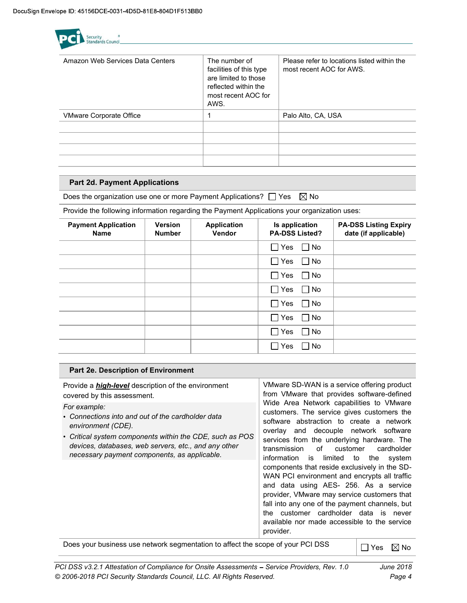

| Amazon Web Services Data Centers | The number of<br>facilities of this type<br>are limited to those<br>reflected within the<br>most recent AOC for<br>AWS. | Please refer to locations listed within the<br>most recent AOC for AWS. |
|----------------------------------|-------------------------------------------------------------------------------------------------------------------------|-------------------------------------------------------------------------|
| <b>VMware Corporate Office</b>   |                                                                                                                         | Palo Alto, CA, USA                                                      |
|                                  |                                                                                                                         |                                                                         |
|                                  |                                                                                                                         |                                                                         |
|                                  |                                                                                                                         |                                                                         |
|                                  |                                                                                                                         |                                                                         |

### Part 2d. Payment Applications

Part 2e. Description of Environment

Does the organization use one or more Payment Applications?  $\Box$  Yes  $\boxtimes$  No

Provide the following information regarding the Payment Applications your organization uses:

| <b>Payment Application</b><br><b>Name</b> | <b>Version</b><br><b>Number</b> | <b>Application</b><br>Vendor | Is application<br><b>PA-DSS Listed?</b> | <b>PA-DSS Listing Expiry</b><br>date (if applicable) |
|-------------------------------------------|---------------------------------|------------------------------|-----------------------------------------|------------------------------------------------------|
|                                           |                                 |                              | □ Yes<br>$\Box$ No                      |                                                      |
|                                           |                                 |                              | □ Yes<br>No.                            |                                                      |
|                                           |                                 |                              | $\square$ Yes<br>$\Box$ No              |                                                      |
|                                           |                                 |                              | $\Box$ Yes<br>$\Box$ No                 |                                                      |
|                                           |                                 |                              | $\Box$ Yes<br>$\Box$ No                 |                                                      |
|                                           |                                 |                              | $\Box$ Yes<br>No.                       |                                                      |
|                                           |                                 |                              | $\Box$ Yes<br>$\Box$ No                 |                                                      |
|                                           |                                 |                              | ∩ Yes<br>1 No                           |                                                      |

| Provide a <i>high-level</i> description of the environment<br>covered by this assessment.<br>For example:<br>• Connections into and out of the cardholder data<br>environment (CDE).<br>• Critical system components within the CDE, such as POS<br>devices, databases, web servers, etc., and any other<br>necessary payment components, as applicable. | VMware SD-WAN is a service offering product<br>from VMware that provides software-defined<br>Wide Area Network capabilities to VMware<br>customers. The service gives customers the<br>software abstraction to create a network<br>overlay and decouple network software<br>services from the underlying hardware. The<br>transmission<br>of<br>customer<br>cardholder<br>information is limited to the<br>system<br>components that reside exclusively in the SD-<br>WAN PCI environment and encrypts all traffic<br>and data using AES- 256. As a service<br>provider, VMware may service customers that<br>fall into any one of the payment channels, but<br>the customer cardholder data is never<br>available nor made accessible to the service |
|----------------------------------------------------------------------------------------------------------------------------------------------------------------------------------------------------------------------------------------------------------------------------------------------------------------------------------------------------------|-------------------------------------------------------------------------------------------------------------------------------------------------------------------------------------------------------------------------------------------------------------------------------------------------------------------------------------------------------------------------------------------------------------------------------------------------------------------------------------------------------------------------------------------------------------------------------------------------------------------------------------------------------------------------------------------------------------------------------------------------------|
|                                                                                                                                                                                                                                                                                                                                                          | provider.                                                                                                                                                                                                                                                                                                                                                                                                                                                                                                                                                                                                                                                                                                                                             |
| Does your business use network segmentation to affect the scope of your PCI DSS                                                                                                                                                                                                                                                                          |                                                                                                                                                                                                                                                                                                                                                                                                                                                                                                                                                                                                                                                                                                                                                       |

Does your business use network segmentation to affect the scope of your PCI DSS  $\Box$  Yes  $\boxtimes$  No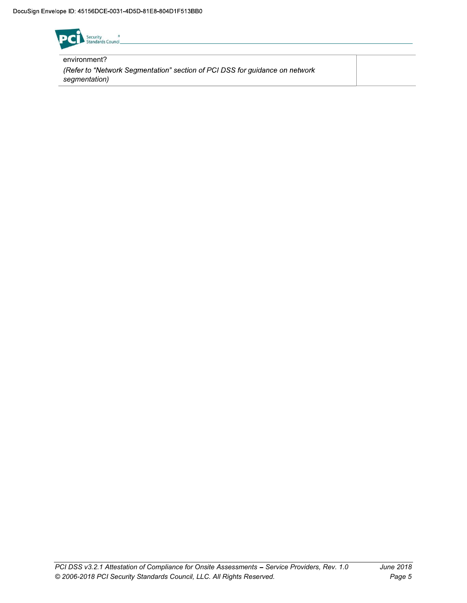

environment? (Refer to "Network Segmentation" section of PCI DSS for guidance on network segmentation)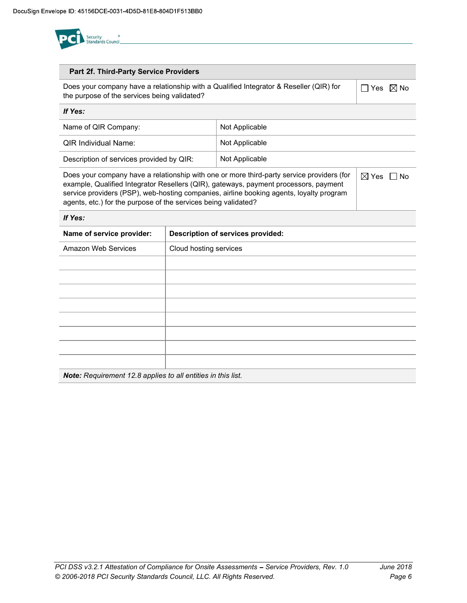

### Part 2f. Third-Party Service Providers

Does your company have a relationship with a Qualified Integrator & Reseller (QIR) for the purpose of the services being validated?

 $\Box$  Yes  $\boxtimes$  No

| If Yes:                                  |                |
|------------------------------------------|----------------|
| Name of QIR Company:                     | Not Applicable |
| QIR Individual Name:                     | Not Applicable |
| Description of services provided by QIR: | Not Applicable |

Does your company have a relationship with one or more third-party service providers (for example, Qualified Integrator Resellers (QIR), gateways, payment processors, payment service providers (PSP), web-hosting companies, airline booking agents, loyalty program agents, etc.) for the purpose of the services being validated?  $\boxtimes$  Yes  $\Box$  No

### If Yes:

| Name of service provider: | <b>Description of services provided:</b> |
|---------------------------|------------------------------------------|
| Amazon Web Services       | Cloud hosting services                   |
|                           |                                          |
|                           |                                          |
|                           |                                          |
|                           |                                          |
|                           |                                          |
|                           |                                          |
|                           |                                          |
|                           |                                          |
|                           |                                          |

Note: Requirement 12.8 applies to all entities in this list.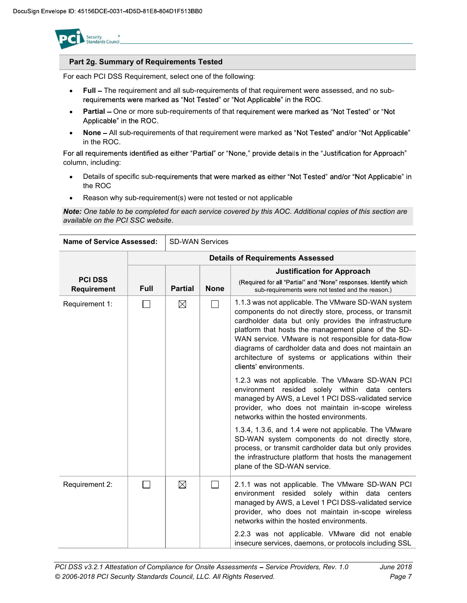

### Part 2g. Summary of Requirements Tested

For each PCI DSS Requirement, select one of the following:

- Full The requirement and all sub-requirements of that requirement were assessed, and no sub- $\bullet$ requirements were marked as "Not Tested" or "Not Applicable" in the ROC.
- Partial One or more sub-requirements of that requirement were marked as "Not Tested" or "Not  $\bullet$ Applicable" in the ROC.
- $\bullet$ None - All sub-requirements of that requirement were marked as "Not Tested" and/or "Not Applicable" in the ROC.

For all requirements identified as either "Partial" or "None," provide details in the "Justification for Approach" column, including:

- Details of specific sub-requirements that were marked as either "Not Tested" and/or "Not Applicable" in the ROC
- Reason why sub-requirement(s) were not tested or not applicable

Note: One table to be completed for each service covered by this AOC. Additional copies of this section are available on the PCI SSC website.

| <b>Name of Service Assessed:</b> |                                         | <b>SD-WAN Services</b> |             |                                                                                                                                                                                                                                                                                                                                                                                                                               |
|----------------------------------|-----------------------------------------|------------------------|-------------|-------------------------------------------------------------------------------------------------------------------------------------------------------------------------------------------------------------------------------------------------------------------------------------------------------------------------------------------------------------------------------------------------------------------------------|
|                                  | <b>Details of Requirements Assessed</b> |                        |             |                                                                                                                                                                                                                                                                                                                                                                                                                               |
| <b>PCI DSS</b><br>Requirement    | Full                                    | <b>Partial</b>         | <b>None</b> | <b>Justification for Approach</b><br>(Required for all "Partial" and "None" responses. Identify which<br>sub-requirements were not tested and the reason.)                                                                                                                                                                                                                                                                    |
| Requirement 1:                   |                                         | $\boxtimes$            |             | 1.1.3 was not applicable. The VMware SD-WAN system<br>components do not directly store, process, or transmit<br>cardholder data but only provides the infrastructure<br>platform that hosts the management plane of the SD-<br>WAN service. VMware is not responsible for data-flow<br>diagrams of cardholder data and does not maintain an<br>architecture of systems or applications within their<br>clients' environments. |
|                                  |                                         |                        |             | 1.2.3 was not applicable. The VMware SD-WAN PCI<br>environment resided solely within data centers<br>managed by AWS, a Level 1 PCI DSS-validated service<br>provider, who does not maintain in-scope wireless<br>networks within the hosted environments.                                                                                                                                                                     |
|                                  |                                         |                        |             | 1.3.4, 1.3.6, and 1.4 were not applicable. The VMware<br>SD-WAN system components do not directly store,<br>process, or transmit cardholder data but only provides<br>the infrastructure platform that hosts the management<br>plane of the SD-WAN service.                                                                                                                                                                   |
| Requirement 2:                   |                                         | $\boxtimes$            |             | 2.1.1 was not applicable. The VMware SD-WAN PCI<br>environment resided solely within data centers<br>managed by AWS, a Level 1 PCI DSS-validated service<br>provider, who does not maintain in-scope wireless<br>networks within the hosted environments.<br>2.2.3 was not applicable. VMware did not enable                                                                                                                  |
|                                  |                                         |                        |             | insecure services, daemons, or protocols including SSL                                                                                                                                                                                                                                                                                                                                                                        |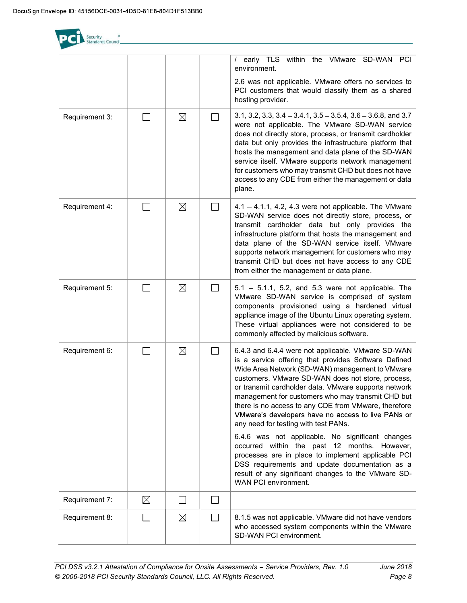ecurity<br>Standards Council / early TLS within the VMware SD-WAN PCI environment. 2.6 was not applicable. VMware offers no services to PCI customers that would classify them as a shared hosting provider. Requirement 3:  $\Box$   $\Box$   $\Box$   $\Box$   $\Box$  3.1, 3.2, 3.3, 3.4 - 3.4.1, 3.5 - 3.5.4, 3.6 - 3.6.8, and 3.7 were not applicable. The VMware SD-WAN service does not directly store, process, or transmit cardholder data but only provides the infrastructure platform that hosts the management and data plane of the SD-WAN service itself. VMware supports network management for customers who may transmit CHD but does not have access to any CDE from either the management or data plane. Requirement 4: 4.1 4.1.1, 4.2, 4.3 were not applicable. The VMware SD-WAN service does not directly store, process, or transmit cardholder data but only provides the infrastructure platform that hosts the management and data plane of the SD-WAN service itself. VMware supports network management for customers who may transmit CHD but does not have access to any CDE from either the management or data plane. Requirement 5:  $\Box$   $\Box$   $\Box$   $\Box$   $\Box$   $\Box$  5.1 – 5.1.1, 5.2, and 5.3 were not applicable. The VMware SD-WAN service is comprised of system components provisioned using a hardened virtual appliance image of the Ubuntu Linux operating system. These virtual appliances were not considered to be commonly affected by malicious software. Requirement 6:  $\Box$   $\Box$   $\Box$  6.4.3 and 6.4.4 were not applicable. VMware SD-WAN is a service offering that provides Software Defined Wide Area Network (SD-WAN) management to VMware customers. VMware SD-WAN does not store, process, or transmit cardholder data. VMware supports network management for customers who may transmit CHD but there is no access to any CDE from VMware, therefore VMware's developers have no access to live PANs or any need for testing with test PANs. 6.4.6 was not applicable. No significant changes occurred within the past 12 months. However, processes are in place to implement applicable PCI DSS requirements and update documentation as a result of any significant changes to the VMware SD-WAN PCI environment. Requirement 7: ⊠ П  $\Box$ Requirement 8:  $\Box$   $\Box$   $\Box$  8.1.5 was not applicable. VMware did not have vendors who accessed system components within the VMware SD-WAN PCI environment.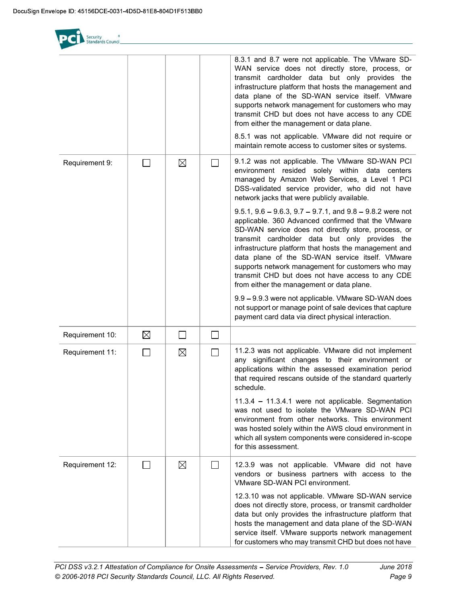s<br>Standards Council 8.3.1 and 8.7 were not applicable. The VMware SD-WAN service does not directly store, process, or transmit cardholder data but only provides the infrastructure platform that hosts the management and data plane of the SD-WAN service itself. VMware supports network management for customers who may transmit CHD but does not have access to any CDE from either the management or data plane. 8.5.1 was not applicable. VMware did not require or maintain remote access to customer sites or systems. Requirement 9:  $\Box$   $\Box$   $\Box$   $\Box$  9.1.2 was not applicable. The VMware SD-WAN PCI environment resided solely within data centers managed by Amazon Web Services, a Level 1 PCI DSS-validated service provider, who did not have network jacks that were publicly available.  $9.5.1, 9.6 - 9.6.3, 9.7 - 9.7.1,$  and  $9.8 - 9.8.2$  were not applicable. 360 Advanced confirmed that the VMware SD-WAN service does not directly store, process, or transmit cardholder data but only provides the infrastructure platform that hosts the management and data plane of the SD-WAN service itself. VMware supports network management for customers who may transmit CHD but does not have access to any CDE from either the management or data plane. 9.9 - 9.9.3 were not applicable. VMware SD-WAN does not support or manage point of sale devices that capture payment card data via direct physical interaction.  $\boxtimes$  $\Box$  $\Box$ Requirement 10: Requirement 11:  $\Box$   $\Box$   $\Box$   $\Box$  11.2.3 was not applicable. VMware did not implement any significant changes to their environment or applications within the assessed examination period that required rescans outside of the standard quarterly schedule.  $11.3.4 - 11.3.4.1$  were not applicable. Segmentation was not used to isolate the VMware SD-WAN PCI environment from other networks. This environment was hosted solely within the AWS cloud environment in which all system components were considered in-scope for this assessment. Requirement 12:  $\Box$   $\Box$   $\Box$   $\Box$  12.3.9 was not applicable. VMware did not have vendors or business partners with access to the VMware SD-WAN PCI environment. 12.3.10 was not applicable. VMware SD-WAN service does not directly store, process, or transmit cardholder data but only provides the infrastructure platform that hosts the management and data plane of the SD-WAN service itself. VMware supports network management

for customers who may transmit CHD but does not have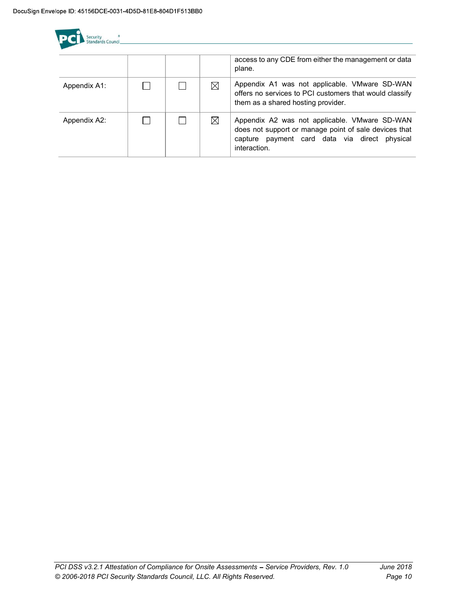| Security<br>Standards Council |  |             |                                                                                                                                                                         |
|-------------------------------|--|-------------|-------------------------------------------------------------------------------------------------------------------------------------------------------------------------|
|                               |  |             | access to any CDE from either the management or data<br>plane.                                                                                                          |
| Appendix A1:                  |  | $\boxtimes$ | Appendix A1 was not applicable. VMware SD-WAN<br>offers no services to PCI customers that would classify<br>them as a shared hosting provider.                          |
| Appendix A2:                  |  | $\boxtimes$ | Appendix A2 was not applicable. VMware SD-WAN<br>does not support or manage point of sale devices that<br>capture payment card data via direct physical<br>interaction. |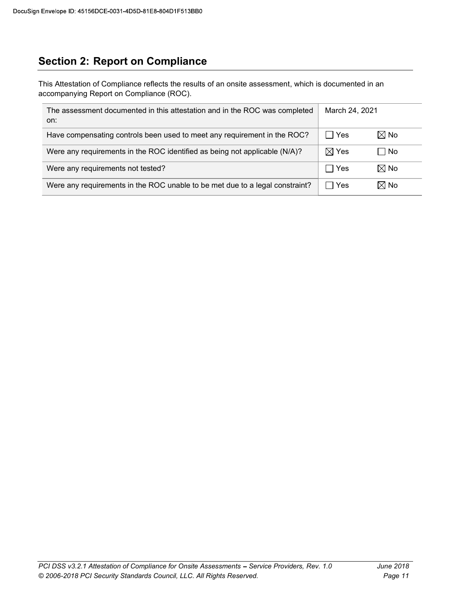## Section 2: Report on Compliance

This Attestation of Compliance reflects the results of an onsite assessment, which is documented in an accompanying Report on Compliance (ROC).

| The assessment documented in this attestation and in the ROC was completed<br>on: | March 24, 2021                  |                |
|-----------------------------------------------------------------------------------|---------------------------------|----------------|
| Have compensating controls been used to meet any requirement in the ROC?          | Yes                             | $\boxtimes$ No |
| Were any requirements in the ROC identified as being not applicable (N/A)?        | $\boxtimes$ Yes                 | l No           |
| Were any requirements not tested?                                                 | Yes<br>$\overline{\phantom{a}}$ | $\boxtimes$ No |
| Were any requirements in the ROC unable to be met due to a legal constraint?      | Yes                             | $\boxtimes$ No |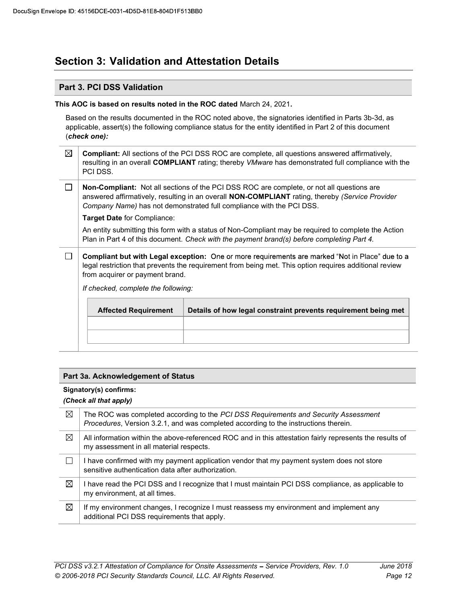## Section 3: Validation and Attestation Details

### Part 3. PCI DSS Validation

### This AOC is based on results noted in the ROC dated March 24, 2021.

Based on the results documented in the ROC noted above, the signatories identified in Parts 3b-3d, as applicable, assert(s) the following compliance status for the entity identified in Part 2 of this document (check one):

| ⊠ | <b>Compliant:</b> All sections of the PCI DSS ROC are complete, all questions answered affirmatively,<br>resulting in an overall COMPLIANT rating; thereby VMware has demonstrated full compliance with the<br>PCI DSS. |
|---|-------------------------------------------------------------------------------------------------------------------------------------------------------------------------------------------------------------------------|
|   | Non-Compliant: Not all sections of the PCI DSS ROC are complete or not all questions are                                                                                                                                |

Non-Compliant: Not all sections of the PCI DSS ROC are complete, or not all questions are answered affirmatively, resulting in an overall **NON-COMPLIANT** rating, thereby (Service Provider Company Name) has not demonstrated full compliance with the PCI DSS.

Target Date for Compliance:

An entity submitting this form with a status of Non-Compliant may be required to complete the Action Plan in Part 4 of this document. Check with the payment brand(s) before completing Part 4.

 $\Box$ Compliant but with Legal exception: One or more requirements are marked "Not in Place" due to a legal restriction that prevents the requirement from being met. This option requires additional review from acquirer or payment brand.

If checked, complete the following:

| <b>Affected Requirement</b> | Details of how legal constraint prevents requirement being met |
|-----------------------------|----------------------------------------------------------------|
|                             |                                                                |
|                             |                                                                |
|                             |                                                                |

### Part 3a. Acknowledgement of Status

### Signatory(s) confirms:

### (Check all that apply)

| ⊠ | The ROC was completed according to the PCI DSS Requirements and Security Assessment<br><i>Procedures, Version 3.2.1, and was completed according to the instructions therein.</i> |
|---|-----------------------------------------------------------------------------------------------------------------------------------------------------------------------------------|
| ⊠ | All information within the above-referenced ROC and in this attestation fairly represents the results of<br>my assessment in all material respects.                               |
|   | I have confirmed with my payment application vendor that my payment system does not store<br>sensitive authentication data after authorization.                                   |
| ⊠ | I have read the PCI DSS and I recognize that I must maintain PCI DSS compliance, as applicable to<br>my environment, at all times.                                                |
| ⊠ | If my environment changes, I recognize I must reassess my environment and implement any<br>additional PCI DSS requirements that apply.                                            |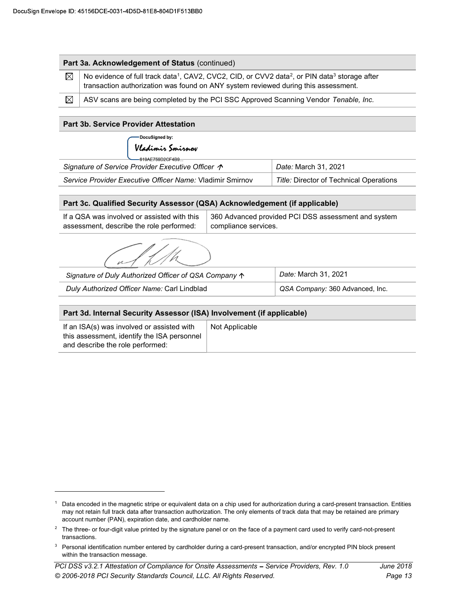| $\boxtimes$                                                    | Part 3a. Acknowledgement of Status (continued)<br>No evidence of full track data <sup>1</sup> , CAV2, CVC2, CID, or CVV2 data <sup>2</sup> , or PIN data <sup>3</sup> storage after |                |                                         |  |
|----------------------------------------------------------------|-------------------------------------------------------------------------------------------------------------------------------------------------------------------------------------|----------------|-----------------------------------------|--|
|                                                                | transaction authorization was found on ANY system reviewed during this assessment.                                                                                                  |                |                                         |  |
| $\boxtimes$                                                    | ASV scans are being completed by the PCI SSC Approved Scanning Vendor Tenable, Inc.                                                                                                 |                |                                         |  |
|                                                                | <b>Part 3b. Service Provider Attestation</b>                                                                                                                                        |                |                                         |  |
|                                                                | DocuSigned by:<br>Vladimir Smirnov<br>619AE759D2CF4B9.                                                                                                                              |                |                                         |  |
|                                                                | Signature of Service Provider Executive Officer $\sim$                                                                                                                              |                | Date: March 31, 2021                    |  |
|                                                                | Service Provider Executive Officer Name: Vladimir Smirnov                                                                                                                           |                | Title: Director of Technical Operations |  |
|                                                                |                                                                                                                                                                                     |                |                                         |  |
|                                                                | Part 3c. Qualified Security Assessor (QSA) Acknowledgement (if applicable)                                                                                                          |                |                                         |  |
|                                                                | If a QSA was involved or assisted with this<br>360 Advanced provided PCI DSS assessment and system<br>assessment, describe the role performed:<br>compliance services.              |                |                                         |  |
|                                                                |                                                                                                                                                                                     |                |                                         |  |
| Signature of Duly Authorized Officer of QSA Company $\uparrow$ |                                                                                                                                                                                     |                | Date: March 31, 2021                    |  |
|                                                                | Duly Authorized Officer Name: Carl Lindblad                                                                                                                                         |                | QSA Company: 360 Advanced, Inc.         |  |
|                                                                |                                                                                                                                                                                     |                |                                         |  |
|                                                                |                                                                                                                                                                                     |                |                                         |  |
|                                                                | Part 3d. Internal Security Assessor (ISA) Involvement (if applicable)<br>If an ISA(s) was involved or assisted with                                                                 | Not Applicable |                                         |  |

 $1$  Data encoded in the magnetic stripe or equivalent data on a chip used for authorization during a card-present transaction. Entities may not retain full track data after transaction authorization. The only elements of track data that may be retained are primary account number (PAN), expiration date, and cardholder name.

 $2$  The three- or four-digit value printed by the signature panel or on the face of a payment card used to verify card-not-present transactions.

<sup>&</sup>lt;sup>3</sup> Personal identification number entered by cardholder during a card-present transaction, and/or encrypted PIN block present within the transaction message.